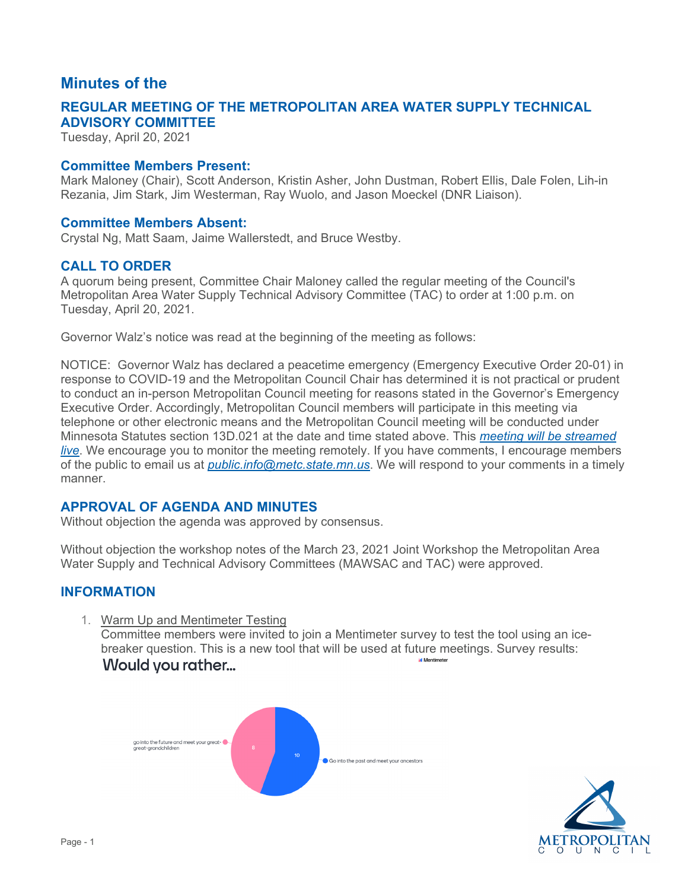# **Minutes of the**

## **ADVISORY COMMITTEE REGULAR MEETING OF THE METROPOLITAN AREA WATER SUPPLY TECHNICAL**

Tuesday, April 20, 2021

## **Committee Members Present:**

Mark Maloney (Chair), Scott Anderson, Kristin Asher, John Dustman, Robert Ellis, Dale Folen, Lih-in Rezania, Jim Stark, Jim Westerman, Ray Wuolo, and Jason Moeckel (DNR Liaison).

#### **Committee Members Absent:**

Crystal Ng, Matt Saam, Jaime Wallerstedt, and Bruce Westby.

## **CALL TO ORDER**

A quorum being present, Committee Chair Maloney called the regular meeting of the Council's Metropolitan Area Water Supply Technical Advisory Committee (TAC) to order at 1:00 p.m. on Tuesday, April 20, 2021.

Governor Walz's notice was read at the beginning of the meeting as follows:

 NOTICE: Governor Walz has declared a peacetime emergency (Emergency Executive Order 20-01) in of the public to email us at *[public.info@metc.state.mn.us](mailto:public.info@metc.state.mn.us)*. We will respond to your comments in a timely response to COVID-19 and the Metropolitan Council Chair has determined it is not practical or prudent to conduct an in-person Metropolitan Council meeting for reasons stated in the Governor's Emergency Executive Order. Accordingly, Metropolitan Council members will participate in this meeting via telephone or other electronic means and the Metropolitan Council meeting will be conducted under Minnesota Statutes section 13D.021 at the date and time stated above. This *[meeting will be streamed](https://gcc01.safelinks.protection.outlook.com/?url=http%3A%2F%2Fmetrocouncil.granicus.com%2FViewPublisher.php%3Fview_id%3D2&data=02%7C01%7CElizabeth.Sund%40metc.state.mn.us%7Cfefc4043c0ca4166780908d7d0e38886%7Cddbff68b482a457381e0fef8156a4fd0%7C0%7C0%7C637207547968878424&sdata=yfJVrK5ayfGYA%2FrvugaCbSCDZyu6h3iehbk%2Bti5LrEs%3D&reserved=0)  [live](https://gcc01.safelinks.protection.outlook.com/?url=http%3A%2F%2Fmetrocouncil.granicus.com%2FViewPublisher.php%3Fview_id%3D2&data=02%7C01%7CElizabeth.Sund%40metc.state.mn.us%7Cfefc4043c0ca4166780908d7d0e38886%7Cddbff68b482a457381e0fef8156a4fd0%7C0%7C0%7C637207547968878424&sdata=yfJVrK5ayfGYA%2FrvugaCbSCDZyu6h3iehbk%2Bti5LrEs%3D&reserved=0)*. We encourage you to monitor the meeting remotely. If you have comments, I encourage members manner.

## **APPROVAL OF AGENDA AND MINUTES**

Without objection the agenda was approved by consensus.

 Water Supply and Technical Advisory Committees (MAWSAC and TAC) were approved. Without objection the workshop notes of the March 23, 2021 Joint Workshop the Metropolitan Area

## **INFORMATION**

1. Warm Up and Mentimeter Testing

**Would you rather...** .ii Mentimeter Committee members were invited to join a Mentimeter survey to test the tool using an icebreaker question. This is a new tool that will be used at future meetings. Survey results:



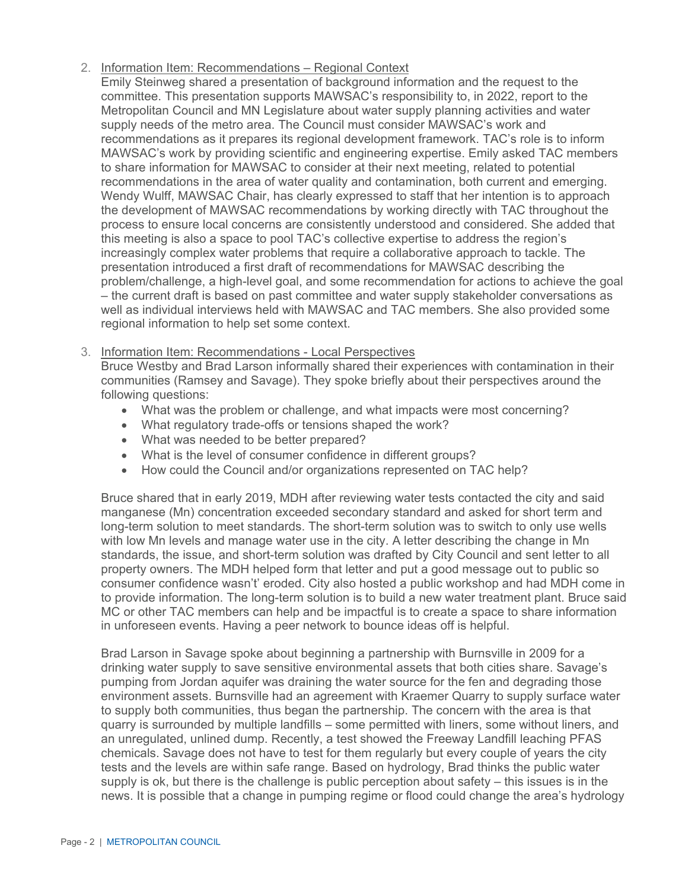## 2. Information Item: Recommendations – Regional Context

 recommendations as it prepares its regional development framework. TAC's role is to inform MAWSAC's work by providing scientific and engineering expertise. Emily asked TAC members Emily Steinweg shared a presentation of background information and the request to the committee. This presentation supports MAWSAC's responsibility to, in 2022, report to the Metropolitan Council and MN Legislature about water supply planning activities and water supply needs of the metro area. The Council must consider MAWSAC's work and to share information for MAWSAC to consider at their next meeting, related to potential recommendations in the area of water quality and contamination, both current and emerging. Wendy Wulff, MAWSAC Chair, has clearly expressed to staff that her intention is to approach the development of MAWSAC recommendations by working directly with TAC throughout the process to ensure local concerns are consistently understood and considered. She added that this meeting is also a space to pool TAC's collective expertise to address the region's increasingly complex water problems that require a collaborative approach to tackle. The presentation introduced a first draft of recommendations for MAWSAC describing the problem/challenge, a high-level goal, and some recommendation for actions to achieve the goal – the current draft is based on past committee and water supply stakeholder conversations as well as individual interviews held with MAWSAC and TAC members. She also provided some regional information to help set some context.

## 3. Information Item: Recommendations - Local Perspectives

Bruce Westby and Brad Larson informally shared their experiences with contamination in their communities (Ramsey and Savage). They spoke briefly about their perspectives around the following questions:

- What was the problem or challenge, and what impacts were most concerning?
- What regulatory trade-offs or tensions shaped the work?
- What was needed to be better prepared?
- What is the level of consumer confidence in different groups?
- How could the Council and/or organizations represented on TAC help?

 standards, the issue, and short-term solution was drafted by City Council and sent letter to all Bruce shared that in early 2019, MDH after reviewing water tests contacted the city and said manganese (Mn) concentration exceeded secondary standard and asked for short term and long-term solution to meet standards. The short-term solution was to switch to only use wells with low Mn levels and manage water use in the city. A letter describing the change in Mn property owners. The MDH helped form that letter and put a good message out to public so consumer confidence wasn't' eroded. City also hosted a public workshop and had MDH come in to provide information. The long-term solution is to build a new water treatment plant. Bruce said MC or other TAC members can help and be impactful is to create a space to share information in unforeseen events. Having a peer network to bounce ideas off is helpful.

 drinking water supply to save sensitive environmental assets that both cities share. Savage's supply is ok, but there is the challenge is public perception about safety – this issues is in the news. It is possible that a change in pumping regime or flood could change the area's hydrology Brad Larson in Savage spoke about beginning a partnership with Burnsville in 2009 for a pumping from Jordan aquifer was draining the water source for the fen and degrading those environment assets. Burnsville had an agreement with Kraemer Quarry to supply surface water to supply both communities, thus began the partnership. The concern with the area is that quarry is surrounded by multiple landfills – some permitted with liners, some without liners, and an unregulated, unlined dump. Recently, a test showed the Freeway Landfill leaching PFAS chemicals. Savage does not have to test for them regularly but every couple of years the city tests and the levels are within safe range. Based on hydrology, Brad thinks the public water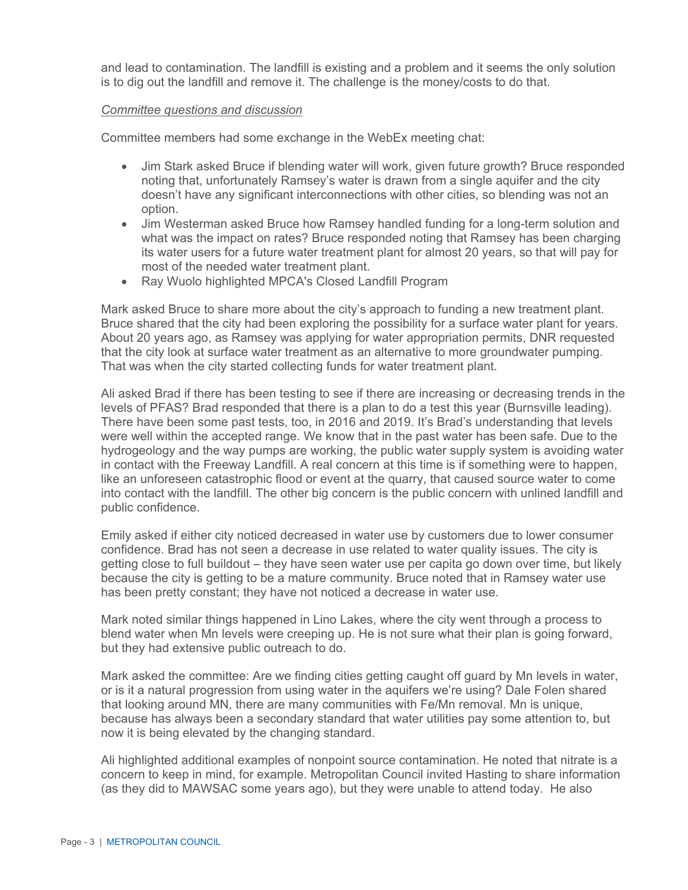and lead to contamination. The landfill is existing and a problem and it seems the only solution is to dig out the landfill and remove it. The challenge is the money/costs to do that.

#### *Committee questions and discussion*

Committee members had some exchange in the WebEx meeting chat:

- Jim Stark asked Bruce if blending water will work, given future growth? Bruce responded noting that, unfortunately Ramsey's water is drawn from a single aquifer and the city doesn't have any significant interconnections with other cities, so blending was not an option.
- Jim Westerman asked Bruce how Ramsey handled funding for a long-term solution and what was the impact on rates? Bruce responded noting that Ramsey has been charging its water users for a future water treatment plant for almost 20 years, so that will pay for most of the needed water treatment plant.
- Ray Wuolo highlighted MPCA's Closed Landfill Program

Mark asked Bruce to share more about the city's approach to funding a new treatment plant. Bruce shared that the city had been exploring the possibility for a surface water plant for years. About 20 years ago, as Ramsey was applying for water appropriation permits, DNR requested that the city look at surface water treatment as an alternative to more groundwater pumping. That was when the city started collecting funds for water treatment plant.

Ali asked Brad if there has been testing to see if there are increasing or decreasing trends in the levels of PFAS? Brad responded that there is a plan to do a test this year (Burnsville leading). There have been some past tests, too, in 2016 and 2019. It's Brad's understanding that levels were well within the accepted range. We know that in the past water has been safe. Due to the hydrogeology and the way pumps are working, the public water supply system is avoiding water in contact with the Freeway Landfill. A real concern at this time is if something were to happen, like an unforeseen catastrophic flood or event at the quarry, that caused source water to come into contact with the landfill. The other big concern is the public concern with unlined landfill and public confidence.

Emily asked if either city noticed decreased in water use by customers due to lower consumer confidence. Brad has not seen a decrease in use related to water quality issues. The city is getting close to full buildout – they have seen water use per capita go down over time, but likely because the city is getting to be a mature community. Bruce noted that in Ramsey water use has been pretty constant; they have not noticed a decrease in water use.

Mark noted similar things happened in Lino Lakes, where the city went through a process to blend water when Mn levels were creeping up. He is not sure what their plan is going forward, but they had extensive public outreach to do.

Mark asked the committee: Are we finding cities getting caught off guard by Mn levels in water, or is it a natural progression from using water in the aquifers we're using? Dale Folen shared that looking around MN, there are many communities with Fe/Mn removal. Mn is unique, because has always been a secondary standard that water utilities pay some attention to, but now it is being elevated by the changing standard.

Ali highlighted additional examples of nonpoint source contamination. He noted that nitrate is a concern to keep in mind, for example. Metropolitan Council invited Hasting to share information (as they did to MAWSAC some years ago), but they were unable to attend today. He also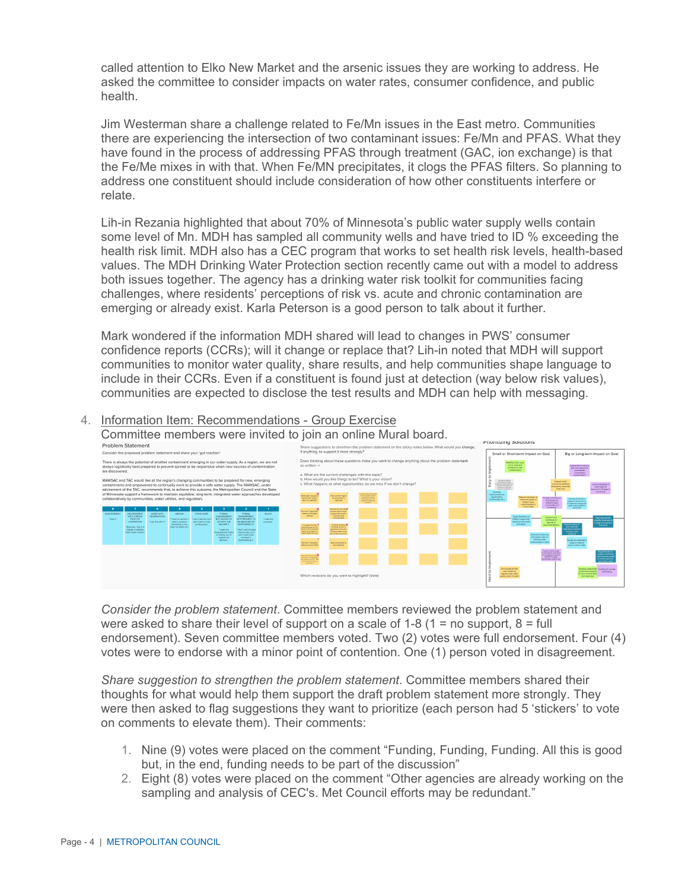called attention to Elko New Market and the arsenic issues they are working to address. He asked the committee to consider impacts on water rates, consumer confidence, and public health.

Jim Westerman share a challenge related to Fe/Mn issues in the East metro. Communities there are experiencing the intersection of two contaminant issues: Fe/Mn and PFAS. What they have found in the process of addressing PFAS through treatment (GAC, ion exchange) is that the Fe/Me mixes in with that. When Fe/MN precipitates, it clogs the PFAS filters. So planning to address one constituent should include consideration of how other constituents interfere or relate.

Lih-in Rezania highlighted that about 70% of Minnesota's public water supply wells contain some level of Mn. MDH has sampled all community wells and have tried to ID % exceeding the health risk limit. MDH also has a CEC program that works to set health risk levels, health-based values. The MDH Drinking Water Protection section recently came out with a model to address both issues together. The agency has a drinking water risk toolkit for communities facing challenges, where residents' perceptions of risk vs. acute and chronic contamination are emerging or already exist. Karla Peterson is a good person to talk about it further.

Mark wondered if the information MDH shared will lead to changes in PWS' consumer confidence reports (CCRs); will it change or replace that? Lih-in noted that MDH will support communities to monitor water quality, share results, and help communities shape language to include in their CCRs. Even if a constituent is found just at detection (way below risk values), communities are expected to disclose the test results and MDH can help with messaging.

#### 4. Information Item: Recommendations - Group Exercise





Consider the problem statement. Committee members reviewed the problem statement and were asked to share their level of support on a scale of  $1-8$  ( $1 =$  no support,  $8 =$  full endorsement). Seven committee members voted. Two (2) votes were full endorsement. Four (4) votes were to endorse with a minor point of contention. One (1) person voted in disagreement.

Share suggestion to strengthen the problem statement. Committee members shared their thoughts for what would help them support the draft problem statement more strongly. They were then asked to flag suggestions they want to prioritize (each person had 5 'stickers' to vote on comments to elevate them). Their comments:

- 1. Nine (9) votes were placed on the comment "Funding, Funding, Funding. All this is good but, in the end, funding needs to be part of the discussion"
- 2. Eight (8) votes were placed on the comment "Other agencies are already working on the sampling and analysis of CEC's. Met Council efforts may be redundant."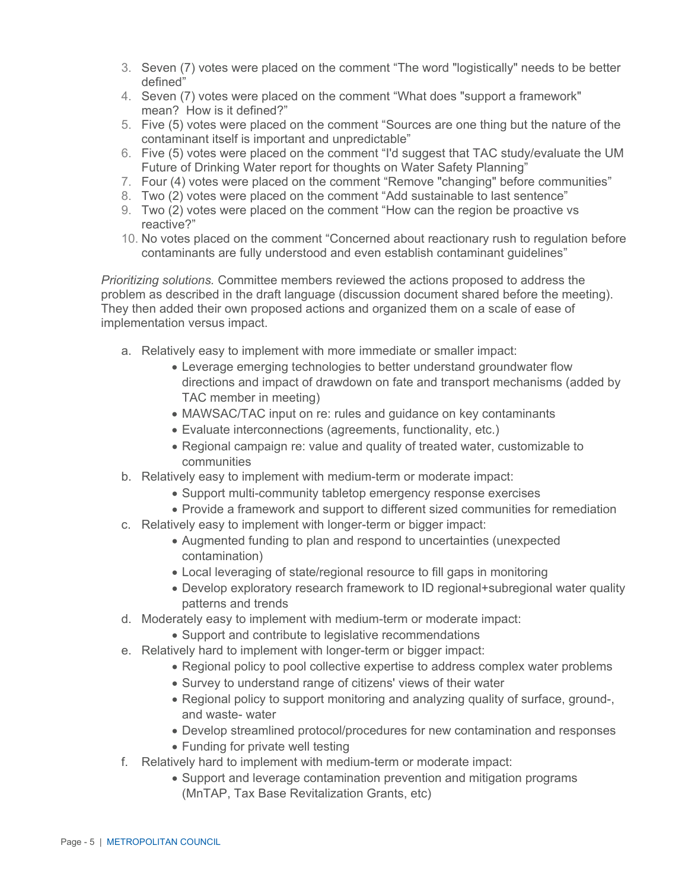- 3. Seven (7) votes were placed on the comment "The word "logistically" needs to be better defined"
- mean? How is it defined?" 4. Seven (7) votes were placed on the comment "What does "support a framework"
- 5. Five (5) votes were placed on the comment "Sources are one thing but the nature of the contaminant itself is important and unpredictable"
- 6. Five (5) votes were placed on the comment "I'd suggest that TAC study/evaluate the UM Future of Drinking Water report for thoughts on Water Safety Planning"
- 7. Four (4) votes were placed on the comment "Remove "changing" before communities"
- 8. Two (2) votes were placed on the comment "Add sustainable to last sentence"
- 9. Two (2) votes were placed on the comment "How can the region be proactive vs reactive?"
- 10. No votes placed on the comment "Concerned about reactionary rush to regulation before contaminants are fully understood and even establish contaminant guidelines"

*Prioritizing solutions.* Committee members reviewed the actions proposed to address the problem as described in the draft language (discussion document shared before the meeting). They then added their own proposed actions and organized them on a scale of ease of implementation versus impact.

- a. Relatively easy to implement with more immediate or smaller impact:
	- directions and impact of drawdown on fate and transport mechanisms (added by • Leverage emerging technologies to better understand groundwater flow TAC member in meeting)
	- MAWSAC/TAC input on re: rules and guidance on key contaminants
	- Evaluate interconnections (agreements, functionality, etc.)
	- Regional campaign re: value and quality of treated water, customizable to communities
- b. Relatively easy to implement with medium-term or moderate impact:
	- Support multi-community tabletop emergency response exercises
	-
- • Provide a framework and support to different sized communities for remediation c. Relatively easy to implement with longer-term or bigger impact:
	- Augmented funding to plan and respond to uncertainties (unexpected contamination)
	- Local leveraging of state/regional resource to fill gaps in monitoring
	- Develop exploratory research framework to ID regional+subregional water quality patterns and trends
- d. Moderately easy to implement with medium-term or moderate impact:
	- Support and contribute to legislative recommendations
- e. Relatively hard to implement with longer-term or bigger impact:
	- Regional policy to pool collective expertise to address complex water problems
	- Survey to understand range of citizens' views of their water
	- and waste- water • Regional policy to support monitoring and analyzing quality of surface, ground-,
	- Develop streamlined protocol/procedures for new contamination and responses
	- Funding for private well testing
- f. Relatively hard to implement with medium-term or moderate impact:
	- Support and leverage contamination prevention and mitigation programs (MnTAP, Tax Base Revitalization Grants, etc)